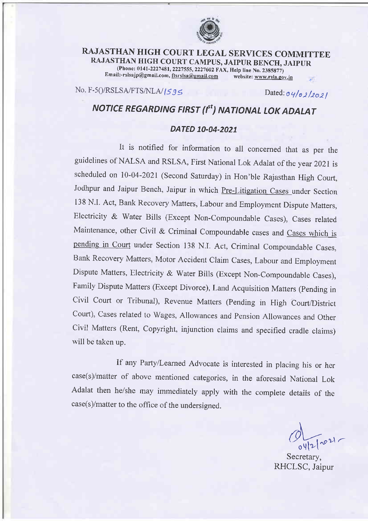

## RAJASTHAN HIGH COURT LEGAL SERVICES COMMITTEE RAJASTHAN HIGH COURT CAMPUS, JAIPUR BENCH, JAIPUR (Phone: 0141-2227481, 2227555, 2227602 FAX, Help line No. 2385877)<br>il:-rslsajp@gmail.com, ftsrslsa@gmail.com website: www.rsla.gov.in Email:-rslsajp@gmail.com, ftsrslsa@gmail.com

No. F-5()/RSLSA/FTS/NLA/ $|595$  Dated: $o$ q/ol/2021

## NOTICE REGARDING FIRST (I<sup>st</sup>) NATIONAL LOK ADALAT

## DATED 10-04-2021

It is notified for information to all concerned that as per the guidelines of NALSA and RSLSA, First National Lok Adalat of the year 2021 is scheduled on 10-04-2021 (second saturday) in Hon'ble Rajasthan High court, Jodhpur and Jaipur Bench, Jaipur in which Pre-Litigation Cases under Section <sup>138</sup>N.I. Act, Bank Recovery Matters, Labour and Employment Dispute Matters, Electricity & water Bills (Except Non-compoundable cases), cases related Maintenance, other Civil & Criminal Compoundable cases and Cases which is pending in Court under Section 138 N.I. Act, Criminal Compoundable Cases, Bank Recovery Matters, Motor Accident Claim Cases, Labour and Employment Dispute Matters, Electricity & water Bills (Except Non-compoundable cases), Family Dispute Matters (Except Divorce), Land Acquisition Matters (pending in civil court or Tribunal), Revenue Matters (pending in High court/District court), cases related to wages, Allowances and pension Allowances and other civil Matters (Rent, copyright, injunction claims and specified cradle claims) will be taken up.

If any Party/Learned Advocate is interested in placing his or her case(s)/matter of above mentioned categories, in the aforesaid National Lok Adalat then he/she may immediately apply with the complete details of the  $case(s)/matter$  to the office of the undersigned.

\  $d_{\text{test}}$ 

Secretary, RHCLSC, Jaipur